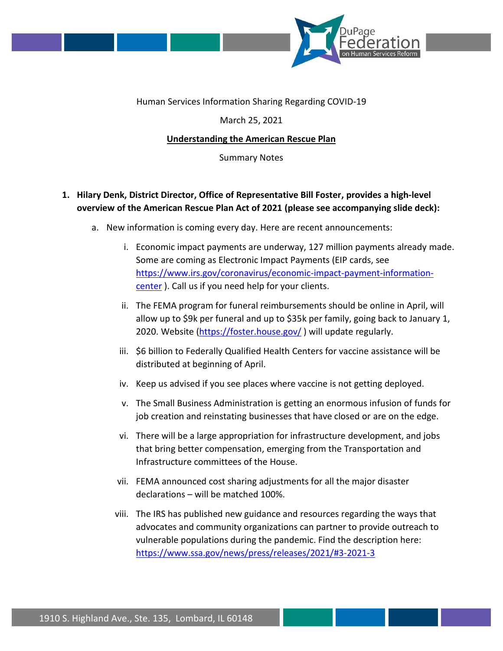

Human Services Information Sharing Regarding COVID-19

## March 25, 2021

### **Understanding the American Rescue Plan**

#### Summary Notes

- **1. Hilary Denk, District Director, Office of Representative Bill Foster, provides a high-level overview of the American Rescue Plan Act of 2021 (please see accompanying slide deck):**
	- a. New information is coming every day. Here are recent announcements:
		- i. Economic impact payments are underway, 127 million payments already made. Some are coming as Electronic Impact Payments (EIP cards, see [https://www.irs.gov/coronavirus/economic-impact-payment-information](https://www.irs.gov/coronavirus/economic-impact-payment-information-center)[center](https://www.irs.gov/coronavirus/economic-impact-payment-information-center) ). Call us if you need help for your clients.
		- ii. The FEMA program for funeral reimbursements should be online in April, will allow up to \$9k per funeral and up to \$35k per family, going back to January 1, 2020. Website [\(https://foster.house.gov/](https://foster.house.gov/) ) will update regularly.
		- iii. \$6 billion to Federally Qualified Health Centers for vaccine assistance will be distributed at beginning of April.
		- iv. Keep us advised if you see places where vaccine is not getting deployed.
		- v. The Small Business Administration is getting an enormous infusion of funds for job creation and reinstating businesses that have closed or are on the edge.
		- vi. There will be a large appropriation for infrastructure development, and jobs that bring better compensation, emerging from the Transportation and Infrastructure committees of the House.
		- vii. FEMA announced cost sharing adjustments for all the major disaster declarations – will be matched 100%.
		- viii. The IRS has published new guidance and resources regarding the ways that advocates and community organizations can partner to provide outreach to vulnerable populations during the pandemic. Find the description here: <https://www.ssa.gov/news/press/releases/2021/#3-2021-3>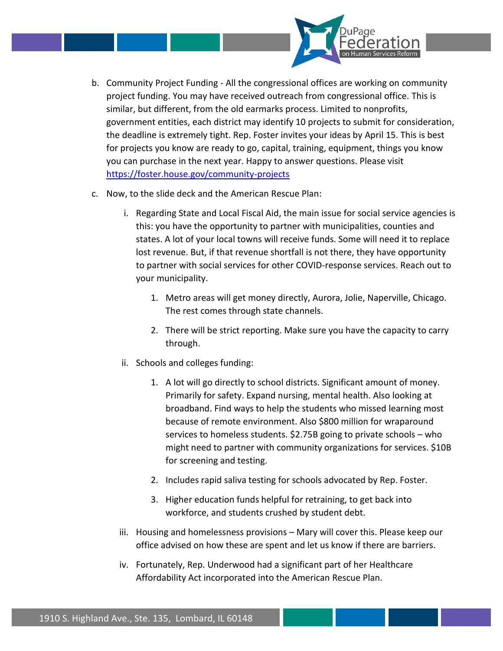

- b. Community Project Funding All the congressional offices are working on community project funding. You may have received outreach from congressional office. This is similar, but different, from the old earmarks process. Limited to nonprofits, government entities, each district may identify 10 projects to submit for consideration, the deadline is extremely tight. Rep. Foster invites your ideas by April 15. This is best for projects you know are ready to go, capital, training, equipment, things you know you can purchase in the next year. Happy to answer questions. Please visit <https://foster.house.gov/community-projects>
- c. Now, to the slide deck and the American Rescue Plan:
	- i. Regarding State and Local Fiscal Aid, the main issue for social service agencies is this: you have the opportunity to partner with municipalities, counties and states. A lot of your local towns will receive funds. Some will need it to replace lost revenue. But, if that revenue shortfall is not there, they have opportunity to partner with social services for other COVID-response services. Reach out to your municipality.
		- 1. Metro areas will get money directly, Aurora, Jolie, Naperville, Chicago. The rest comes through state channels.
		- 2. There will be strict reporting. Make sure you have the capacity to carry through.
	- ii. Schools and colleges funding:
		- 1. A lot will go directly to school districts. Significant amount of money. Primarily for safety. Expand nursing, mental health. Also looking at broadband. Find ways to help the students who missed learning most because of remote environment. Also \$800 million for wraparound services to homeless students. \$2.75B going to private schools – who might need to partner with community organizations for services. \$10B for screening and testing.
		- 2. Includes rapid saliva testing for schools advocated by Rep. Foster.
		- 3. Higher education funds helpful for retraining, to get back into workforce, and students crushed by student debt.
	- iii. Housing and homelessness provisions Mary will cover this. Please keep our office advised on how these are spent and let us know if there are barriers.
	- iv. Fortunately, Rep. Underwood had a significant part of her Healthcare Affordability Act incorporated into the American Rescue Plan.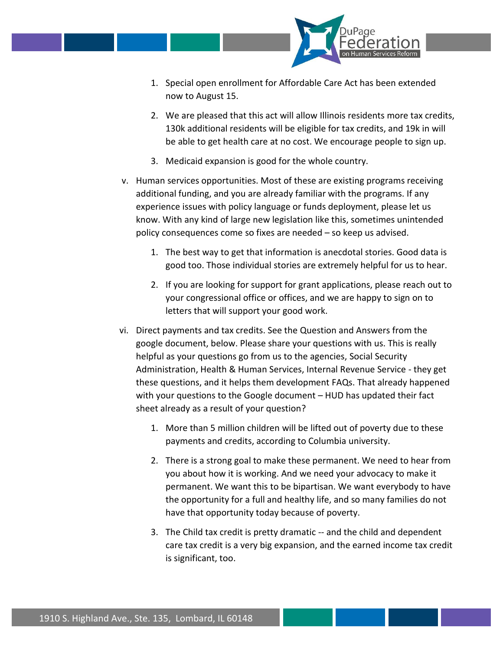

- 1. Special open enrollment for Affordable Care Act has been extended now to August 15.
- 2. We are pleased that this act will allow Illinois residents more tax credits, 130k additional residents will be eligible for tax credits, and 19k in will be able to get health care at no cost. We encourage people to sign up.
- 3. Medicaid expansion is good for the whole country.
- v. Human services opportunities. Most of these are existing programs receiving additional funding, and you are already familiar with the programs. If any experience issues with policy language or funds deployment, please let us know. With any kind of large new legislation like this, sometimes unintended policy consequences come so fixes are needed – so keep us advised.
	- 1. The best way to get that information is anecdotal stories. Good data is good too. Those individual stories are extremely helpful for us to hear.
	- 2. If you are looking for support for grant applications, please reach out to your congressional office or offices, and we are happy to sign on to letters that will support your good work.
- vi. Direct payments and tax credits. See the Question and Answers from the google document, below. Please share your questions with us. This is really helpful as your questions go from us to the agencies, Social Security Administration, Health & Human Services, Internal Revenue Service - they get these questions, and it helps them development FAQs. That already happened with your questions to the Google document – HUD has updated their fact sheet already as a result of your question?
	- 1. More than 5 million children will be lifted out of poverty due to these payments and credits, according to Columbia university.
	- 2. There is a strong goal to make these permanent. We need to hear from you about how it is working. And we need your advocacy to make it permanent. We want this to be bipartisan. We want everybody to have the opportunity for a full and healthy life, and so many families do not have that opportunity today because of poverty.
	- 3. The Child tax credit is pretty dramatic -- and the child and dependent care tax credit is a very big expansion, and the earned income tax credit is significant, too.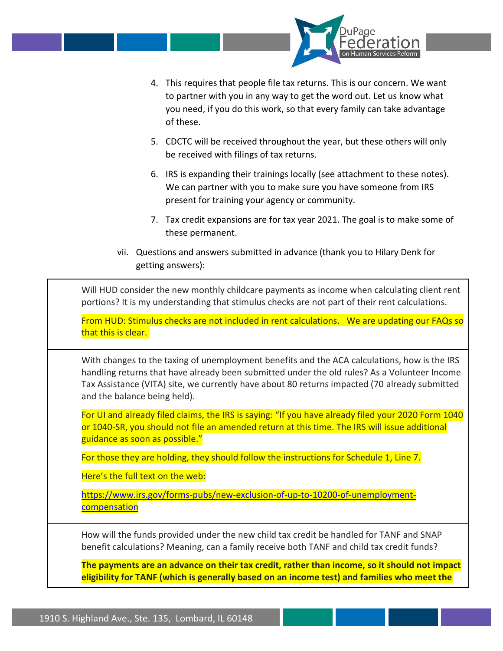

- 4. This requires that people file tax returns. This is our concern. We want to partner with you in any way to get the word out. Let us know what you need, if you do this work, so that every family can take advantage of these.
- 5. CDCTC will be received throughout the year, but these others will only be received with filings of tax returns.
- 6. IRS is expanding their trainings locally (see attachment to these notes). We can partner with you to make sure you have someone from IRS present for training your agency or community.
- 7. Tax credit expansions are for tax year 2021. The goal is to make some of these permanent.
- vii. Questions and answers submitted in advance (thank you to Hilary Denk for getting answers):

Will HUD consider the new monthly childcare payments as income when calculating client rent portions? It is my understanding that stimulus checks are not part of their rent calculations.

From HUD: Stimulus checks are not included in rent calculations. We are updating our FAQs so that this is clear.

With changes to the taxing of unemployment benefits and the ACA calculations, how is the IRS handling returns that have already been submitted under the old rules? As a Volunteer Income Tax Assistance (VITA) site, we currently have about 80 returns impacted (70 already submitted and the balance being held).

For UI and already filed claims, the IRS is saying: "If you have already filed your 2020 Form 1040 or 1040-SR, you should not file an amended return at this time. The IRS will issue additional guidance as soon as possible."

For those they are holding, they should follow the instructions for Schedule 1, Line 7.

Here's the full text on the web:

[https://www.irs.gov/forms-pubs/new-exclusion-of-up-to-10200-of-unemployment](https://www.irs.gov/forms-pubs/new-exclusion-of-up-to-10200-of-unemployment-compensation)[compensation](https://www.irs.gov/forms-pubs/new-exclusion-of-up-to-10200-of-unemployment-compensation)

How will the funds provided under the new child tax credit be handled for TANF and SNAP benefit calculations? Meaning, can a family receive both TANF and child tax credit funds?

**The payments are an advance on their tax credit, rather than income, so it should not impact eligibility for TANF (which is generally based on an income test) and families who meet the**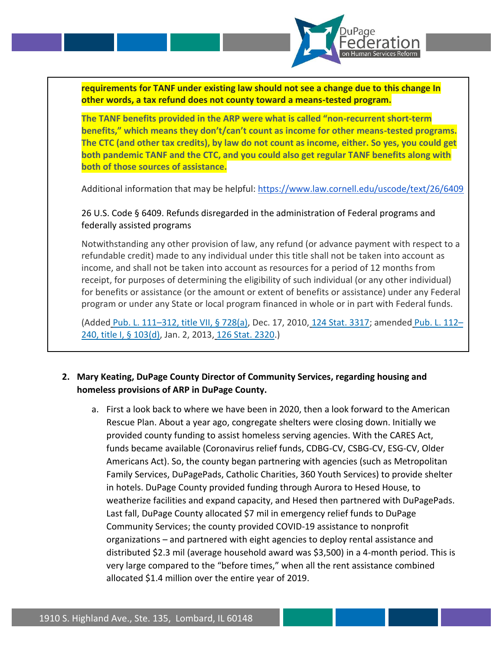

**requirements for TANF under existing law should not see a change due to this change In other words, a tax refund does not county toward a means-tested program.**

**The TANF benefits provided in the ARP were what is called "non-recurrent short-term benefits," which means they don't/can't count as income for other means-tested programs. The CTC (and other tax credits), by law do not count as income, either. So yes, you could get both pandemic TANF and the CTC, and you could also get regular TANF benefits along with both of those sources of assistance.**

Additional information that may be helpful:<https://www.law.cornell.edu/uscode/text/26/6409>

26 U.S. Code § 6409. Refunds disregarded in the administration of Federal programs and federally assisted programs

Notwithstanding any other provision of law, any refund (or advance payment with respect to a refundable credit) made to any individual under this title shall not be taken into account as income, and shall not be taken into account as resources for a period of 12 months from receipt, for purposes of determining the eligibility of such individual (or any other individual) for benefits or assistance (or the amount or extent of benefits or assistance) under any Federal program or under any State or local program financed in whole or in part with Federal funds.

(Added Pub. L. 111[–312, title VII, § 728\(a\)](https://www.law.cornell.edu/rio/citation/Pub._L._111-312), Dec. 17, 2010, [124 Stat. 3317;](https://www.law.cornell.edu/rio/citation/124_Stat._3317) amended [Pub. L. 112](https://www.law.cornell.edu/rio/citation/Pub._L._112-240)– [240, title I, § 103\(d\)](https://www.law.cornell.edu/rio/citation/Pub._L._112-240), Jan. 2, 2013, [126 Stat. 2320.](https://www.law.cornell.edu/rio/citation/126_Stat._2320))

# **2. Mary Keating, DuPage County Director of Community Services, regarding housing and homeless provisions of ARP in DuPage County.**

a. First a look back to where we have been in 2020, then a look forward to the American Rescue Plan. About a year ago, congregate shelters were closing down. Initially we provided county funding to assist homeless serving agencies. With the CARES Act, funds became available (Coronavirus relief funds, CDBG-CV, CSBG-CV, ESG-CV, Older Americans Act). So, the county began partnering with agencies (such as Metropolitan Family Services, DuPagePads, Catholic Charities, 360 Youth Services) to provide shelter in hotels. DuPage County provided funding through Aurora to Hesed House, to weatherize facilities and expand capacity, and Hesed then partnered with DuPagePads. Last fall, DuPage County allocated \$7 mil in emergency relief funds to DuPage Community Services; the county provided COVID-19 assistance to nonprofit organizations – and partnered with eight agencies to deploy rental assistance and distributed \$2.3 mil (average household award was \$3,500) in a 4-month period. This is very large compared to the "before times," when all the rent assistance combined allocated \$1.4 million over the entire year of 2019.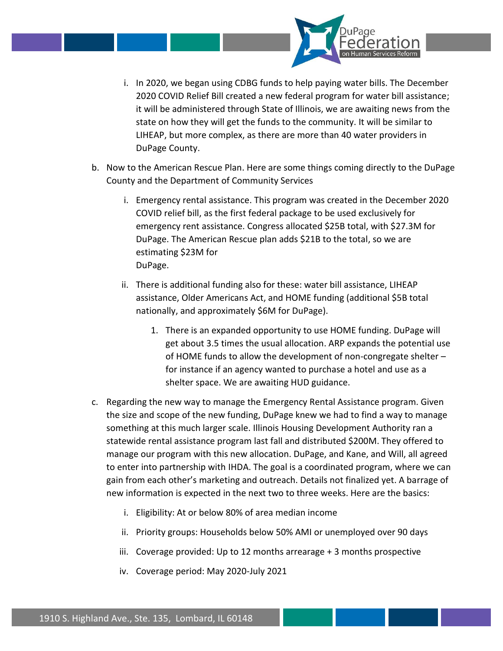

- i. In 2020, we began using CDBG funds to help paying water bills. The December 2020 COVID Relief Bill created a new federal program for water bill assistance; it will be administered through State of Illinois, we are awaiting news from the state on how they will get the funds to the community. It will be similar to LIHEAP, but more complex, as there are more than 40 water providers in DuPage County.
- b. Now to the American Rescue Plan. Here are some things coming directly to the DuPage County and the Department of Community Services
	- i. Emergency rental assistance. This program was created in the December 2020 COVID relief bill, as the first federal package to be used exclusively for emergency rent assistance. Congress allocated \$25B total, with \$27.3M for DuPage. The American Rescue plan adds \$21B to the total, so we are estimating \$23M for DuPage.
	- ii. There is additional funding also for these: water bill assistance, LIHEAP assistance, Older Americans Act, and HOME funding (additional \$5B total nationally, and approximately \$6M for DuPage).
		- 1. There is an expanded opportunity to use HOME funding. DuPage will get about 3.5 times the usual allocation. ARP expands the potential use of HOME funds to allow the development of non-congregate shelter – for instance if an agency wanted to purchase a hotel and use as a shelter space. We are awaiting HUD guidance.
- c. Regarding the new way to manage the Emergency Rental Assistance program. Given the size and scope of the new funding, DuPage knew we had to find a way to manage something at this much larger scale. Illinois Housing Development Authority ran a statewide rental assistance program last fall and distributed \$200M. They offered to manage our program with this new allocation. DuPage, and Kane, and Will, all agreed to enter into partnership with IHDA. The goal is a coordinated program, where we can gain from each other's marketing and outreach. Details not finalized yet. A barrage of new information is expected in the next two to three weeks. Here are the basics:
	- i. Eligibility: At or below 80% of area median income
	- ii. Priority groups: Households below 50% AMI or unemployed over 90 days
	- iii. Coverage provided: Up to 12 months arrearage + 3 months prospective
	- iv. Coverage period: May 2020-July 2021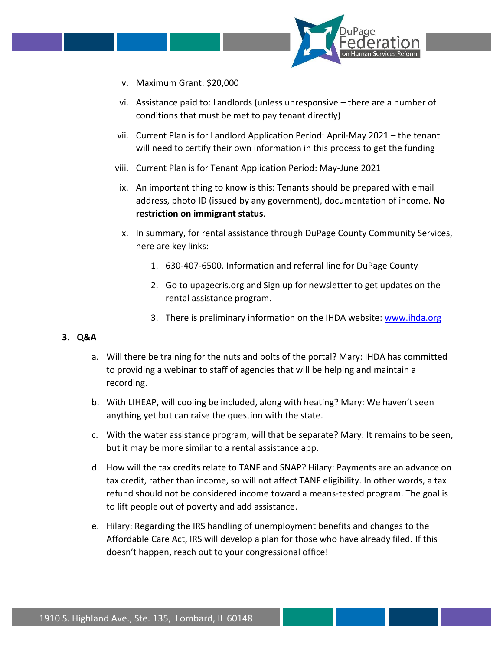

- v. Maximum Grant: \$20,000
- vi. Assistance paid to: Landlords (unless unresponsive there are a number of conditions that must be met to pay tenant directly)
- vii. Current Plan is for Landlord Application Period: April-May 2021 the tenant will need to certify their own information in this process to get the funding
- viii. Current Plan is for Tenant Application Period: May-June 2021
- ix. An important thing to know is this: Tenants should be prepared with email address, photo ID (issued by any government), documentation of income. **No restriction on immigrant status**.
- x. In summary, for rental assistance through DuPage County Community Services, here are key links:
	- 1. 630-407-6500. Information and referral line for DuPage County
	- 2. Go to upagecris.org and Sign up for newsletter to get updates on the rental assistance program.
	- 3. There is preliminary information on the IHDA website: [www.ihda.org](http://www.ihda.org/)

## **3. Q&A**

- a. Will there be training for the nuts and bolts of the portal? Mary: IHDA has committed to providing a webinar to staff of agencies that will be helping and maintain a recording.
- b. With LIHEAP, will cooling be included, along with heating? Mary: We haven't seen anything yet but can raise the question with the state.
- c. With the water assistance program, will that be separate? Mary: It remains to be seen, but it may be more similar to a rental assistance app.
- d. How will the tax credits relate to TANF and SNAP? Hilary: Payments are an advance on tax credit, rather than income, so will not affect TANF eligibility. In other words, a tax refund should not be considered income toward a means-tested program. The goal is to lift people out of poverty and add assistance.
- e. Hilary: Regarding the IRS handling of unemployment benefits and changes to the Affordable Care Act, IRS will develop a plan for those who have already filed. If this doesn't happen, reach out to your congressional office!